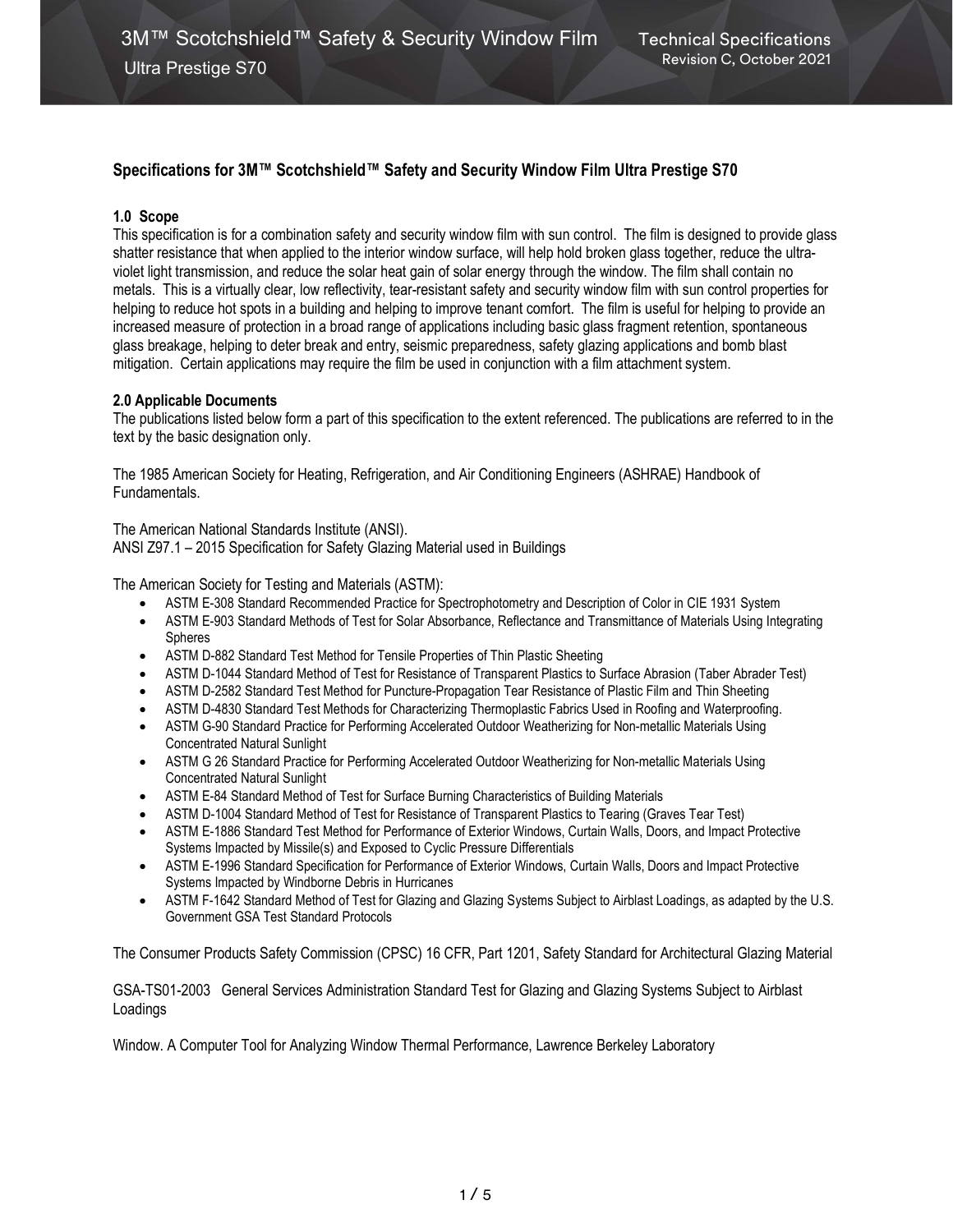# Specifications for 3M™ Scotchshield™ Safety and Security Window Film Ultra Prestige S70

### 1.0 Scope

This specification is for a combination safety and security window film with sun control. The film is designed to provide glass shatter resistance that when applied to the interior window surface, will help hold broken glass together, reduce the ultraviolet light transmission, and reduce the solar heat gain of solar energy through the window. The film shall contain no metals. This is a virtually clear, low reflectivity, tear-resistant safety and security window film with sun control properties for helping to reduce hot spots in a building and helping to improve tenant comfort. The film is useful for helping to provide an increased measure of protection in a broad range of applications including basic glass fragment retention, spontaneous glass breakage, helping to deter break and entry, seismic preparedness, safety glazing applications and bomb blast mitigation. Certain applications may require the film be used in conjunction with a film attachment system.

#### 2.0 Applicable Documents

The publications listed below form a part of this specification to the extent referenced. The publications are referred to in the text by the basic designation only.

The 1985 American Society for Heating, Refrigeration, and Air Conditioning Engineers (ASHRAE) Handbook of Fundamentals.

The American National Standards Institute (ANSI). ANSI Z97.1 – 2015 Specification for Safety Glazing Material used in Buildings

The American Society for Testing and Materials (ASTM):

- ASTM E-308 Standard Recommended Practice for Spectrophotometry and Description of Color in CIE 1931 System
- ASTM E-903 Standard Methods of Test for Solar Absorbance, Reflectance and Transmittance of Materials Using Integrating Spheres
- ASTM D-882 Standard Test Method for Tensile Properties of Thin Plastic Sheeting
- ASTM D-1044 Standard Method of Test for Resistance of Transparent Plastics to Surface Abrasion (Taber Abrader Test)
- ASTM D-2582 Standard Test Method for Puncture-Propagation Tear Resistance of Plastic Film and Thin Sheeting
- ASTM D-4830 Standard Test Methods for Characterizing Thermoplastic Fabrics Used in Roofing and Waterproofing.
- ASTM G-90 Standard Practice for Performing Accelerated Outdoor Weatherizing for Non-metallic Materials Using Concentrated Natural Sunlight
- ASTM G 26 Standard Practice for Performing Accelerated Outdoor Weatherizing for Non-metallic Materials Using Concentrated Natural Sunlight
- ASTM E-84 Standard Method of Test for Surface Burning Characteristics of Building Materials
- ASTM D-1004 Standard Method of Test for Resistance of Transparent Plastics to Tearing (Graves Tear Test)
- ASTM E-1886 Standard Test Method for Performance of Exterior Windows, Curtain Walls, Doors, and Impact Protective Systems Impacted by Missile(s) and Exposed to Cyclic Pressure Differentials
- ASTM E-1996 Standard Specification for Performance of Exterior Windows, Curtain Walls, Doors and Impact Protective Systems Impacted by Windborne Debris in Hurricanes
- ASTM F-1642 Standard Method of Test for Glazing and Glazing Systems Subject to Airblast Loadings, as adapted by the U.S. Government GSA Test Standard Protocols

The Consumer Products Safety Commission (CPSC) 16 CFR, Part 1201, Safety Standard for Architectural Glazing Material

GSA-TS01-2003 General Services Administration Standard Test for Glazing and Glazing Systems Subject to Airblast Loadings

Window. A Computer Tool for Analyzing Window Thermal Performance, Lawrence Berkeley Laboratory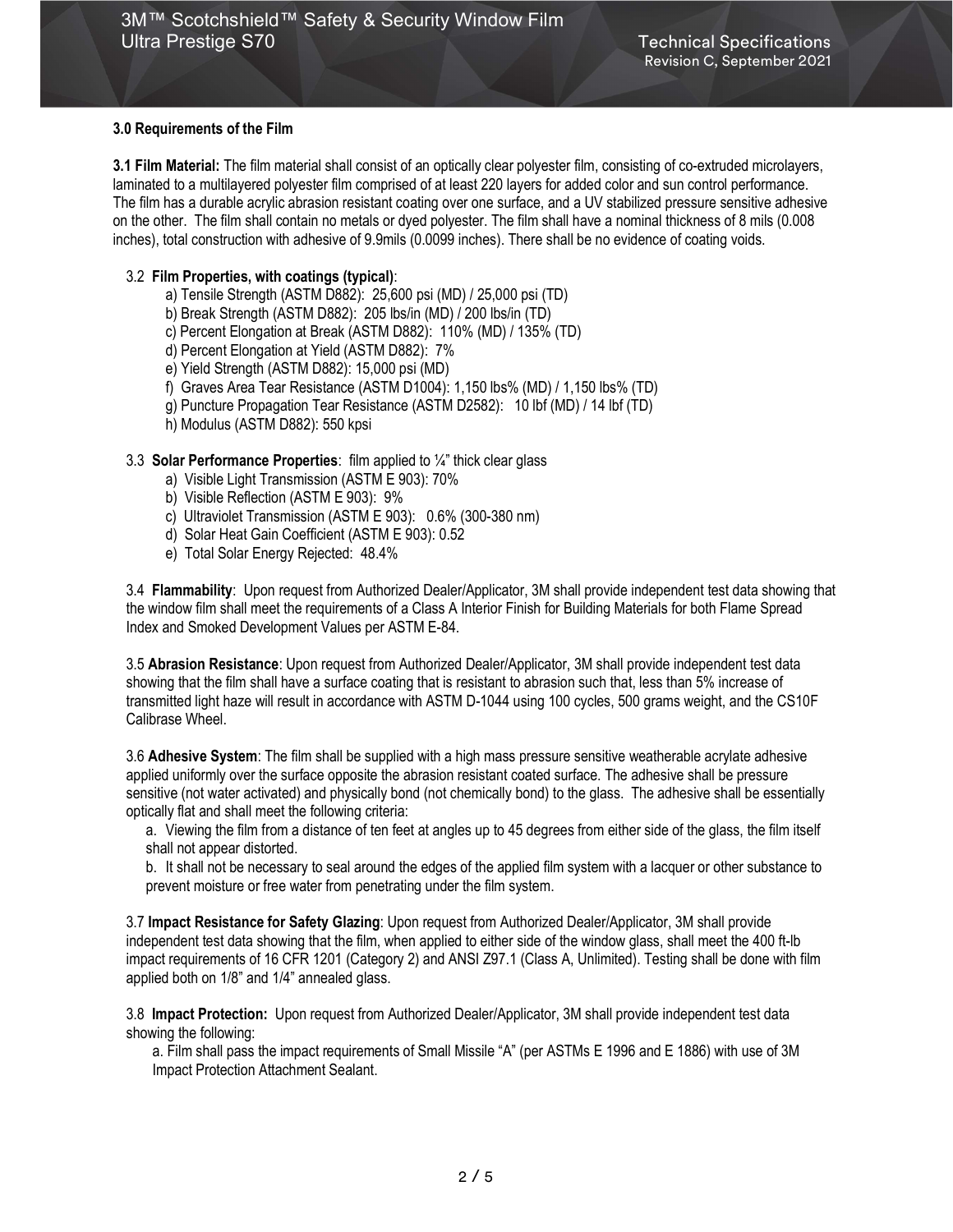### 3.0 Requirements of the Film

3.1 Film Material: The film material shall consist of an optically clear polyester film, consisting of co-extruded microlayers, laminated to a multilayered polyester film comprised of at least 220 layers for added color and sun control performance. The film has a durable acrylic abrasion resistant coating over one surface, and a UV stabilized pressure sensitive adhesive on the other. The film shall contain no metals or dyed polyester. The film shall have a nominal thickness of 8 mils (0.008 inches), total construction with adhesive of 9.9mils (0.0099 inches). There shall be no evidence of coating voids.

### 3.2 Film Properties, with coatings (typical):

- a) Tensile Strength (ASTM D882): 25,600 psi (MD) / 25,000 psi (TD)
- b) Break Strength (ASTM D882): 205 lbs/in (MD) / 200 lbs/in (TD)
- c) Percent Elongation at Break (ASTM D882): 110% (MD) / 135% (TD)
- d) Percent Elongation at Yield (ASTM D882): 7%
- e) Yield Strength (ASTM D882): 15,000 psi (MD)
- f) Graves Area Tear Resistance (ASTM D1004): 1,150 lbs% (MD) / 1,150 lbs% (TD)
- g) Puncture Propagation Tear Resistance (ASTM D2582): 10 lbf (MD) / 14 lbf (TD)
- h) Modulus (ASTM D882): 550 kpsi

## 3.3 Solar Performance Properties: film applied to ¼" thick clear glass

- a) Visible Light Transmission (ASTM E 903): 70%
- b) Visible Reflection (ASTM E 903): 9%
- c) Ultraviolet Transmission (ASTM E 903): 0.6% (300-380 nm)
- d) Solar Heat Gain Coefficient (ASTM E 903): 0.52
- e) Total Solar Energy Rejected: 48.4%

3.4 Flammability: Upon request from Authorized Dealer/Applicator, 3M shall provide independent test data showing that the window film shall meet the requirements of a Class A Interior Finish for Building Materials for both Flame Spread Index and Smoked Development Values per ASTM E-84.

3.5 Abrasion Resistance: Upon request from Authorized Dealer/Applicator, 3M shall provide independent test data showing that the film shall have a surface coating that is resistant to abrasion such that, less than 5% increase of transmitted light haze will result in accordance with ASTM D-1044 using 100 cycles, 500 grams weight, and the CS10F Calibrase Wheel.

3.6 Adhesive System: The film shall be supplied with a high mass pressure sensitive weatherable acrylate adhesive applied uniformly over the surface opposite the abrasion resistant coated surface. The adhesive shall be pressure sensitive (not water activated) and physically bond (not chemically bond) to the glass. The adhesive shall be essentially optically flat and shall meet the following criteria:

a. Viewing the film from a distance of ten feet at angles up to 45 degrees from either side of the glass, the film itself shall not appear distorted.

b. It shall not be necessary to seal around the edges of the applied film system with a lacquer or other substance to prevent moisture or free water from penetrating under the film system.

3.7 Impact Resistance for Safety Glazing: Upon request from Authorized Dealer/Applicator, 3M shall provide independent test data showing that the film, when applied to either side of the window glass, shall meet the 400 ft-lb impact requirements of 16 CFR 1201 (Category 2) and ANSI Z97.1 (Class A, Unlimited). Testing shall be done with film applied both on 1/8" and 1/4" annealed glass.

3.8 Impact Protection: Upon request from Authorized Dealer/Applicator, 3M shall provide independent test data showing the following:

a. Film shall pass the impact requirements of Small Missile "A" (per ASTMs E 1996 and E 1886) with use of 3M Impact Protection Attachment Sealant.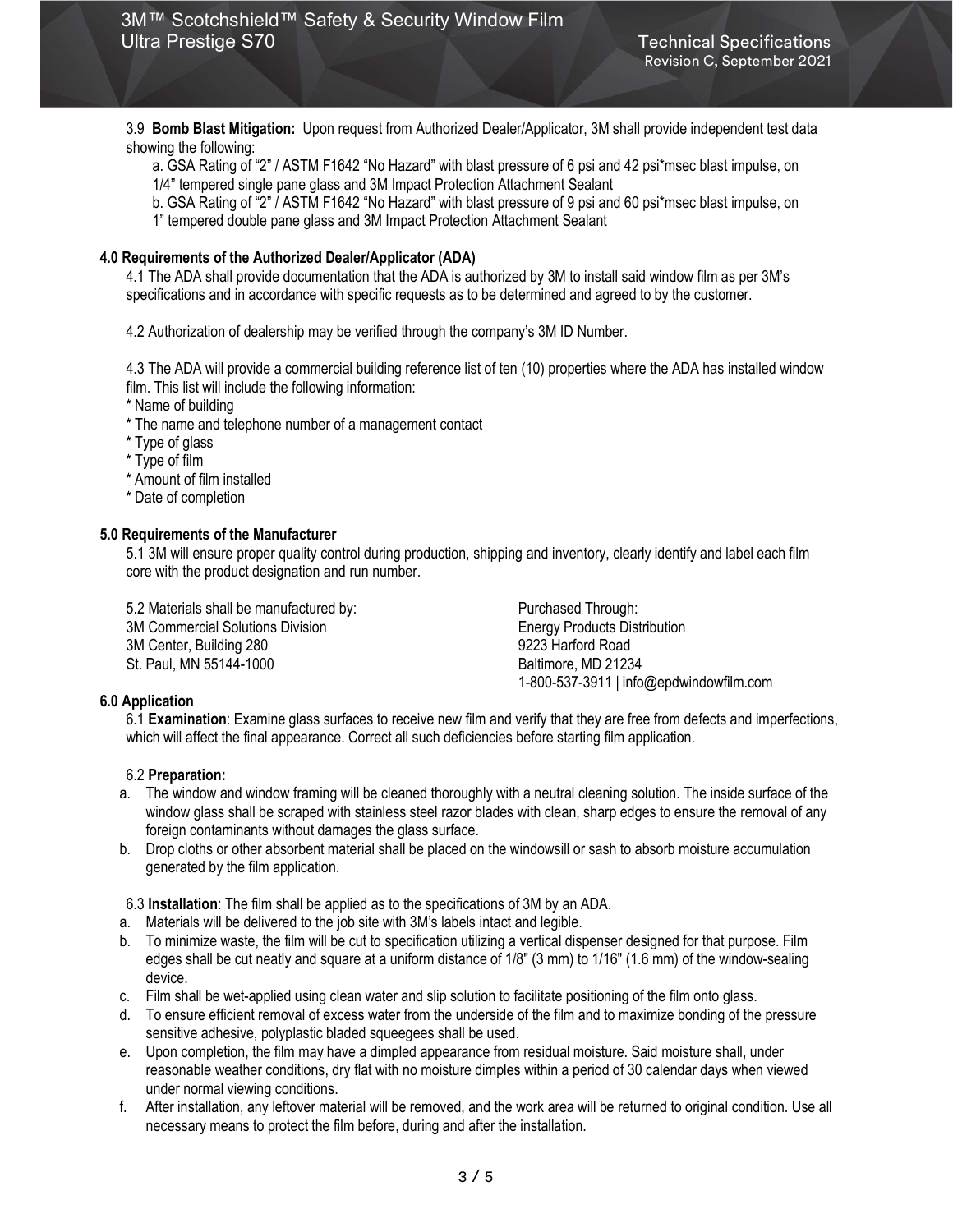3.9 Bomb Blast Mitigation: Upon request from Authorized Dealer/Applicator, 3M shall provide independent test data showing the following:

a. GSA Rating of "2" / ASTM F1642 "No Hazard" with blast pressure of 6 psi and 42 psi\*msec blast impulse, on 1/4" tempered single pane glass and 3M Impact Protection Attachment Sealant

- b. GSA Rating of "2" / ASTM F1642 "No Hazard" with blast pressure of 9 psi and 60 psi\*msec blast impulse, on
- 1" tempered double pane glass and 3M Impact Protection Attachment Sealant

#### 4.0 Requirements of the Authorized Dealer/Applicator (ADA)

4.1 The ADA shall provide documentation that the ADA is authorized by 3M to install said window film as per 3M's specifications and in accordance with specific requests as to be determined and agreed to by the customer.

4.2 Authorization of dealership may be verified through the company's 3M ID Number.

4.3 The ADA will provide a commercial building reference list of ten (10) properties where the ADA has installed window film. This list will include the following information:

\* Name of building

- \* The name and telephone number of a management contact
- \* Type of glass
- \* Type of film
- \* Amount of film installed
- \* Date of completion

#### 5.0 Requirements of the Manufacturer

5.1 3M will ensure proper quality control during production, shipping and inventory, clearly identify and label each film core with the product designation and run number.

5.2 Materials shall be manufactured by: Purchased Through: 3M Commercial Solutions Division **Energy Products Distribution** 3M Center, Building 280 9223 Harford Road St. Paul, MN 55144-1000 Baltimore, MD 21234

1-800-537-3911 | info@epdwindowfilm.com

#### 6.0 Application

6.1 Examination: Examine glass surfaces to receive new film and verify that they are free from defects and imperfections, which will affect the final appearance. Correct all such deficiencies before starting film application.

#### 6.2 Preparation:

- a. The window and window framing will be cleaned thoroughly with a neutral cleaning solution. The inside surface of the window glass shall be scraped with stainless steel razor blades with clean, sharp edges to ensure the removal of any foreign contaminants without damages the glass surface.
- b. Drop cloths or other absorbent material shall be placed on the windowsill or sash to absorb moisture accumulation generated by the film application.

6.3 Installation: The film shall be applied as to the specifications of 3M by an ADA.

- a. Materials will be delivered to the job site with 3M's labels intact and legible.
- b. To minimize waste, the film will be cut to specification utilizing a vertical dispenser designed for that purpose. Film edges shall be cut neatly and square at a uniform distance of 1/8" (3 mm) to 1/16" (1.6 mm) of the window-sealing device.
- c. Film shall be wet-applied using clean water and slip solution to facilitate positioning of the film onto glass.
- d. To ensure efficient removal of excess water from the underside of the film and to maximize bonding of the pressure sensitive adhesive, polyplastic bladed squeegees shall be used.
- e. Upon completion, the film may have a dimpled appearance from residual moisture. Said moisture shall, under reasonable weather conditions, dry flat with no moisture dimples within a period of 30 calendar days when viewed under normal viewing conditions.
- f. After installation, any leftover material will be removed, and the work area will be returned to original condition. Use all necessary means to protect the film before, during and after the installation.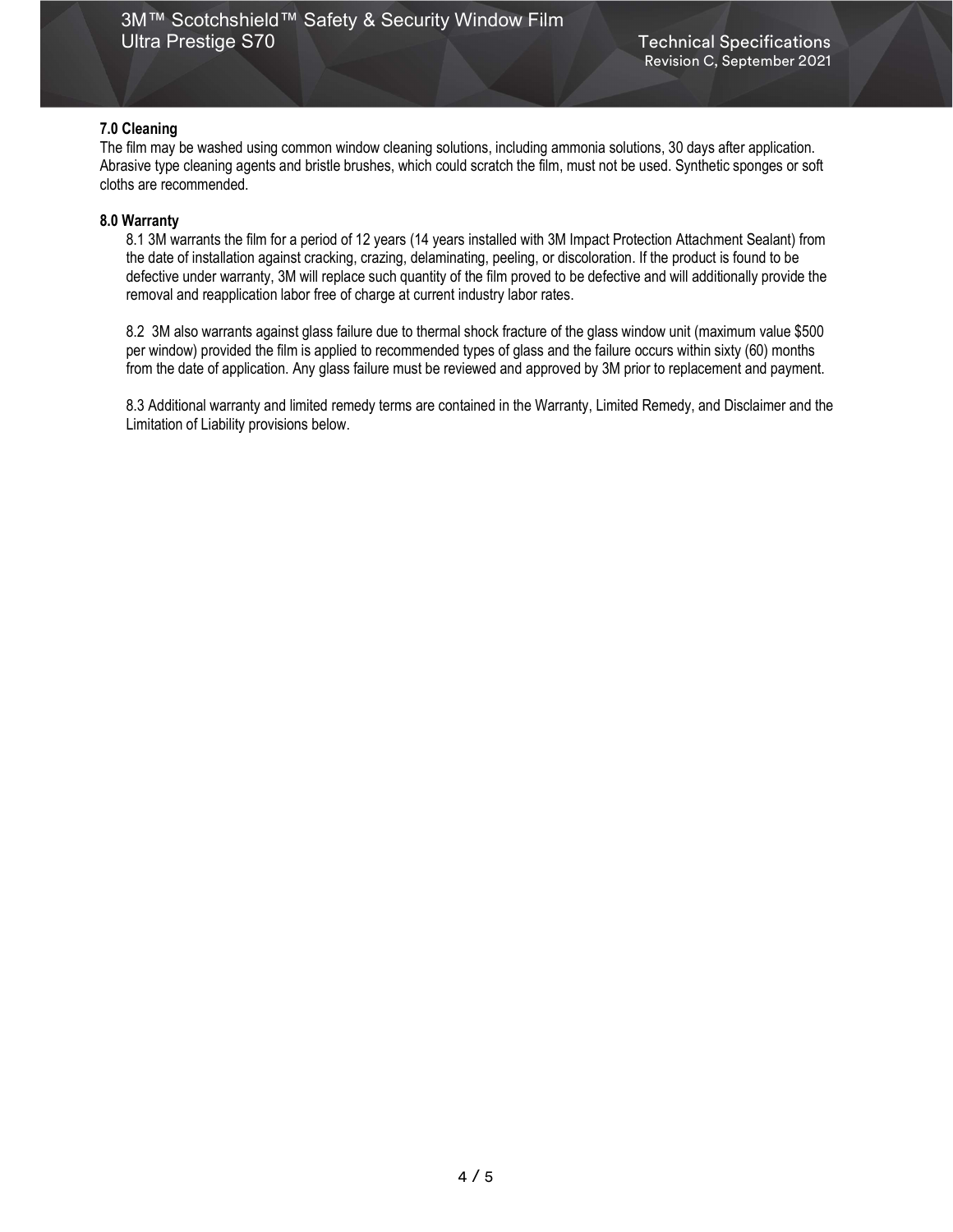### 7.0 Cleaning

The film may be washed using common window cleaning solutions, including ammonia solutions, 30 days after application. Abrasive type cleaning agents and bristle brushes, which could scratch the film, must not be used. Synthetic sponges or soft cloths are recommended.

### 8.0 Warranty

8.1 3M warrants the film for a period of 12 years (14 years installed with 3M Impact Protection Attachment Sealant) from the date of installation against cracking, crazing, delaminating, peeling, or discoloration. If the product is found to be defective under warranty, 3M will replace such quantity of the film proved to be defective and will additionally provide the removal and reapplication labor free of charge at current industry labor rates.

8.2 3M also warrants against glass failure due to thermal shock fracture of the glass window unit (maximum value \$500 per window) provided the film is applied to recommended types of glass and the failure occurs within sixty (60) months from the date of application. Any glass failure must be reviewed and approved by 3M prior to replacement and payment.

8.3 Additional warranty and limited remedy terms are contained in the Warranty, Limited Remedy, and Disclaimer and the Limitation of Liability provisions below.